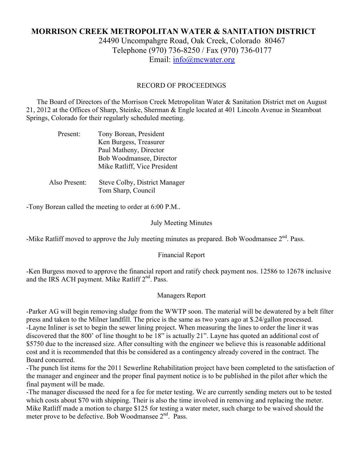# **MORRISON CREEK METROPOLITAN WATER & SANITATION DISTRICT** 24490 Uncompahgre Road, Oak Creek, Colorado 80467 Telephone (970) 736-8250 / Fax (970) 736-0177 Email: info@mcwater.org

## RECORD OF PROCEEDINGS

 The Board of Directors of the Morrison Creek Metropolitan Water & Sanitation District met on August 21, 2012 at the Offices of Sharp, Steinke, Sherman & Engle located at 401 Lincoln Avenue in Steamboat Springs, Colorado for their regularly scheduled meeting.

| Present:      | Tony Borean, President<br>Ken Burgess, Treasurer<br>Paul Matheny, Director<br>Bob Woodmansee, Director<br>Mike Ratliff, Vice President |
|---------------|----------------------------------------------------------------------------------------------------------------------------------------|
| Also Present: | Steve Colby, District Manager<br>Tom Sharp, Council                                                                                    |

-Tony Borean called the meeting to order at 6:00 P.M..

#### July Meeting Minutes

-Mike Ratliff moved to approve the July meeting minutes as prepared. Bob Woodmansee 2<sup>nd</sup>. Pass.

### Financial Report

-Ken Burgess moved to approve the financial report and ratify check payment nos. 12586 to 12678 inclusive and the IRS ACH payment. Mike Ratliff  $2<sup>nd</sup>$ . Pass.

### Managers Report

-Parker AG will begin removing sludge from the WWTP soon. The material will be dewatered by a belt filter press and taken to the Milner landfill. The price is the same as two years ago at \$.24/gallon processed. -Layne Inliner is set to begin the sewer lining project. When measuring the lines to order the liner it was discovered that the 800' of line thought to be 18" is actually 21". Layne has quoted an additional cost of \$5750 due to the increased size. After consulting with the engineer we believe this is reasonable additional cost and it is recommended that this be considered as a contingency already covered in the contract. The Board concurred.

-The punch list items for the 2011 Sewerline Rehabilitation project have been completed to the satisfaction of the manager and engineer and the proper final payment notice is to be published in the pilot after which the final payment will be made.

-The manager discussed the need for a fee for meter testing. We are currently sending meters out to be tested which costs about \$70 with shipping. Their is also the time involved in removing and replacing the meter. Mike Ratliff made a motion to charge \$125 for testing a water meter, such charge to be waived should the meter prove to be defective. Bob Woodmansee  $2<sup>nd</sup>$ . Pass.